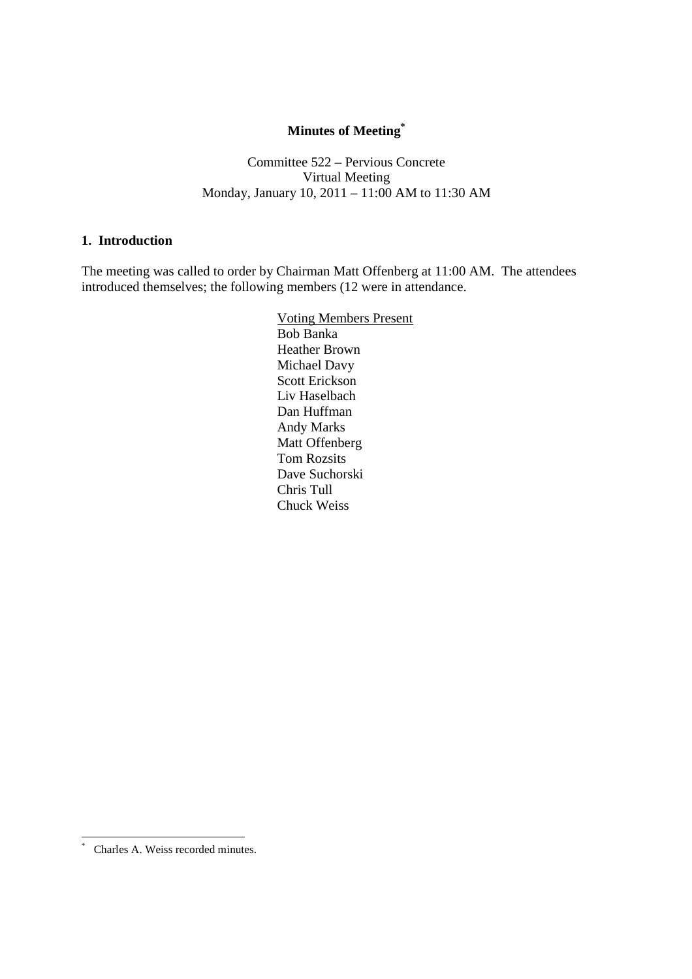# **Minutes of Meeting\***

Committee 522 – Pervious Concrete Virtual Meeting Monday, January 10, 2011 – 11:00 AM to 11:30 AM

#### **1. Introduction**

The meeting was called to order by Chairman Matt Offenberg at 11:00 AM. The attendees introduced themselves; the following members (12 were in attendance.

> Voting Members Present Bob Banka Heather Brown Michael Davy Scott Erickson Liv Haselbach Dan Huffman Andy Marks Matt Offenberg Tom Rozsits Dave Suchorski Chris Tull Chuck Weiss

 $\overline{a}$ 

<sup>\*</sup> Charles A. Weiss recorded minutes.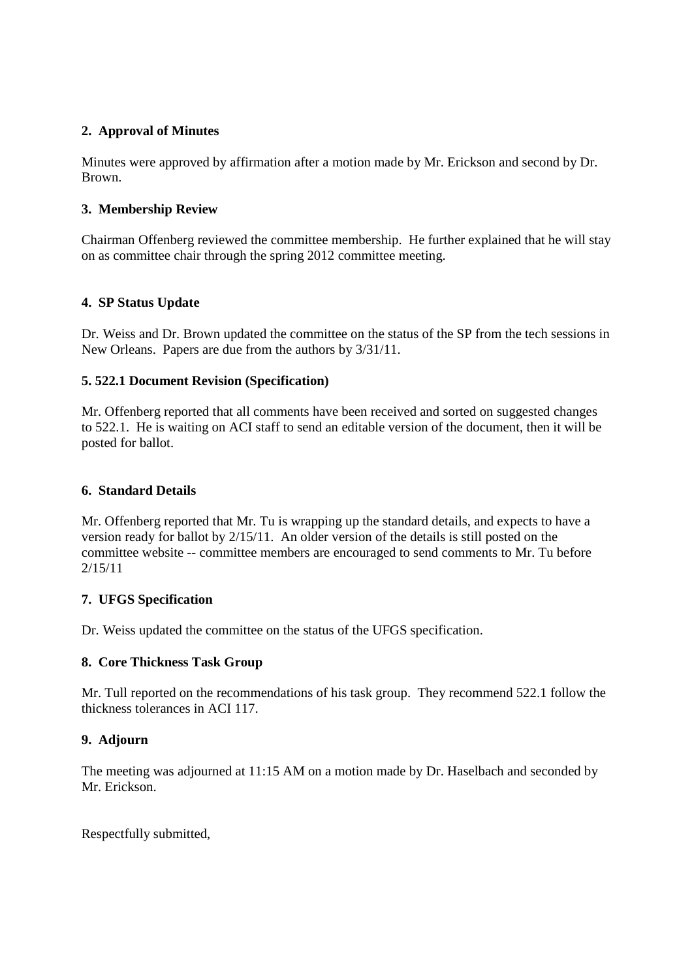## **2. Approval of Minutes**

Minutes were approved by affirmation after a motion made by Mr. Erickson and second by Dr. Brown.

## **3. Membership Review**

Chairman Offenberg reviewed the committee membership. He further explained that he will stay on as committee chair through the spring 2012 committee meeting.

## **4. SP Status Update**

Dr. Weiss and Dr. Brown updated the committee on the status of the SP from the tech sessions in New Orleans. Papers are due from the authors by 3/31/11.

## **5. 522.1 Document Revision (Specification)**

Mr. Offenberg reported that all comments have been received and sorted on suggested changes to 522.1. He is waiting on ACI staff to send an editable version of the document, then it will be posted for ballot.

## **6. Standard Details**

Mr. Offenberg reported that Mr. Tu is wrapping up the standard details, and expects to have a version ready for ballot by 2/15/11. An older version of the details is still posted on the committee website -- committee members are encouraged to send comments to Mr. Tu before 2/15/11

## **7. UFGS Specification**

Dr. Weiss updated the committee on the status of the UFGS specification.

## **8. Core Thickness Task Group**

Mr. Tull reported on the recommendations of his task group. They recommend 522.1 follow the thickness tolerances in ACI 117.

## **9. Adjourn**

The meeting was adjourned at 11:15 AM on a motion made by Dr. Haselbach and seconded by Mr. Erickson.

Respectfully submitted,